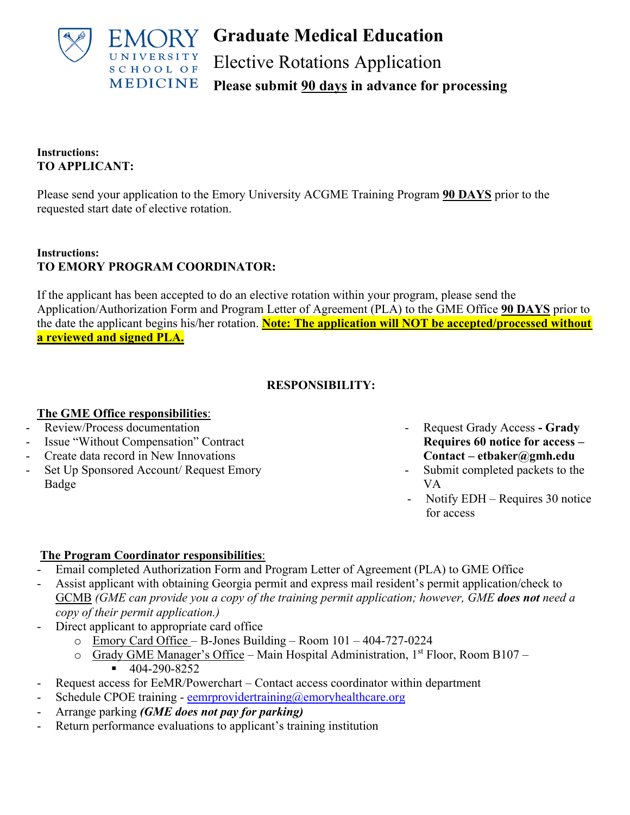

**Graduate Medical Education** Elective Rotations Application **Please submit 90 days in advance for processing**

## **Instructions: TO APPLICANT:**

Please send your application to the Emory University ACGME Training Program **90 DAYS** prior to the requested start date of elective rotation.

## **Instructions: TO EMORY PROGRAM COORDINATOR:**

If the applicant has been accepted to do an elective rotation within your program, please send the Application/Authorization Form and Program Letter of Agreement (PLA) to the GME Office **90 DAYS** prior to the date the applicant begins his/her rotation. **Note: The application will NOT be accepted/processed without a reviewed and signed PLA.**

## **RESPONSIBILITY:**

## **The GME Office responsibilities**:

- Review/Process documentation
- Issue "Without Compensation" Contract
- Create data record in New Innovations
- Set Up Sponsored Account/ Request Emory Badge
- Request Grady Access **Grady Requires 60 notice for access – Contact – etbaker@gmh.edu**
- Submit completed packets to the VA
- Notify EDH Requires 30 notice for access

# **The Program Coordinator responsibilities**:

- Email completed Authorization Form and Program Letter of Agreement (PLA) to GME Office
- Assist applicant with obtaining Georgia permit and express mail resident's permit application/check to GCMB *(GME can provide you a copy of the training permit application; however, GME does not need a copy of their permit application.)*
- Direct applicant to appropriate card office
	- o Emory Card Office B-Jones Building Room 101 404-727-0224
	- $\circ$  Grady GME Manager's Office Main Hospital Administration, 1<sup>st</sup> Floor, Room B107  $-404-290-8252$
- Request access for EeMR/Powerchart Contact access coordinator within department
- Schedule CPOE training - [eemrprovidertraining@emoryhealthcare.org](mailto:eemrprovidertraining@emoryhealthcare.org)
- Arrange parking *(GME does not pay for parking)*
- Return performance evaluations to applicant's training institution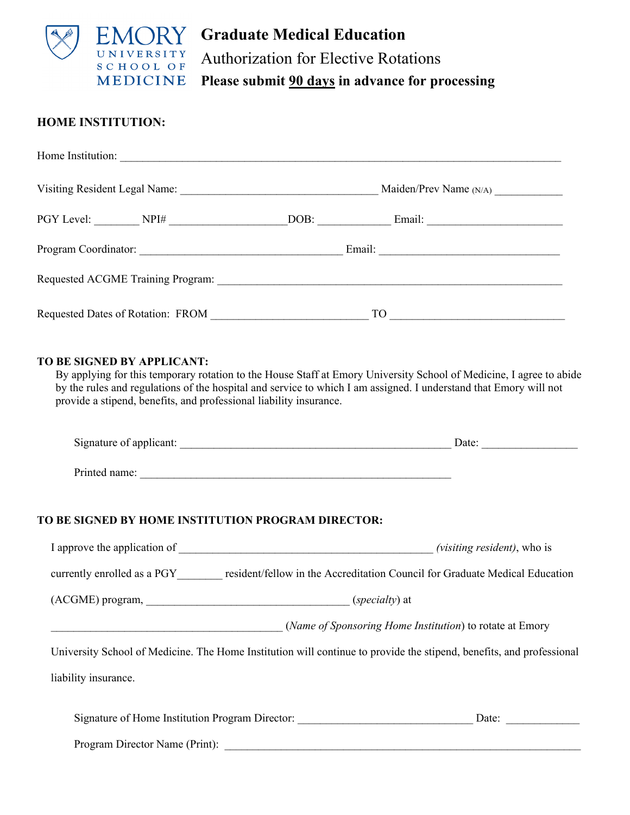

**Graduate Medical Education**  Authorization for Elective Rotations **Please submit 90 days in advance for processing**

## **HOME INSTITUTION:**

| Home Institution:                                                                                                                                                                                                              |      |                        |
|--------------------------------------------------------------------------------------------------------------------------------------------------------------------------------------------------------------------------------|------|------------------------|
|                                                                                                                                                                                                                                |      | Maiden/Prev Name (N/A) |
|                                                                                                                                                                                                                                | DOB: |                        |
|                                                                                                                                                                                                                                |      |                        |
| Requested ACGME Training Program: The Contract of the Contract of the Contract of the Contract of the Contract of the Contract of the Contract of the Contract of the Contract of the Contract of the Contract of the Contract |      |                        |
| Requested Dates of Rotation: FROM                                                                                                                                                                                              |      | TO                     |

#### **TO BE SIGNED BY APPLICANT:**

By applying for this temporary rotation to the House Staff at Emory University School of Medicine, I agree to abide by the rules and regulations of the hospital and service to which I am assigned. I understand that Emory will not provide a stipend, benefits, and professional liability insurance.

|                                |                                                                                  | Date:                                                                                                                |
|--------------------------------|----------------------------------------------------------------------------------|----------------------------------------------------------------------------------------------------------------------|
|                                |                                                                                  |                                                                                                                      |
|                                | TO BE SIGNED BY HOME INSTITUTION PROGRAM DIRECTOR:                               |                                                                                                                      |
|                                |                                                                                  |                                                                                                                      |
|                                |                                                                                  | currently enrolled as a PGY resident/fellow in the Accreditation Council for Graduate Medical Education              |
|                                |                                                                                  |                                                                                                                      |
|                                | (Name of Sponsoring Home Institution) to rotate at Emory                         |                                                                                                                      |
|                                |                                                                                  | University School of Medicine. The Home Institution will continue to provide the stipend, benefits, and professional |
| liability insurance.           |                                                                                  |                                                                                                                      |
|                                | Signature of Home Institution Program Director: ________________________________ | Date: $\frac{1}{\sqrt{1-\frac{1}{2}} \cdot \frac{1}{2}}$                                                             |
| Program Director Name (Print): |                                                                                  |                                                                                                                      |